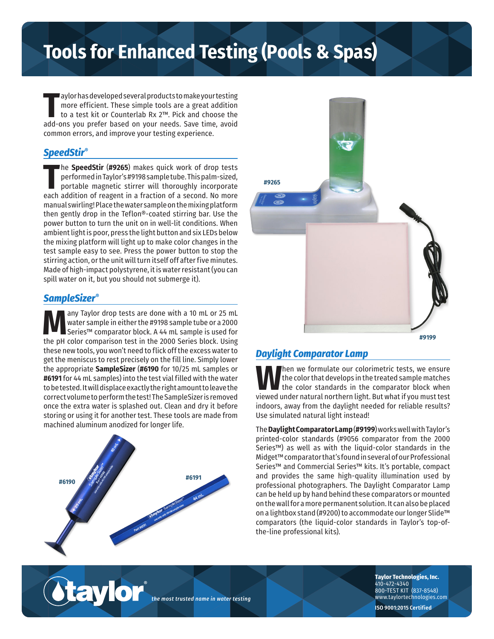# **Tools for Enhanced Testing (Pools & Spas)**

The aylor has developed several products to make your testing<br>
more efficient. These simple tools are a great addition<br>
to a test kit or Counterlab Rx 2™. Pick and choose the<br>
add-ons you prefer based on your needs. Save aylor has developed several products to make your testing more efficient. These simple tools are a great addition to a test kit or Counterlab Rx 2™. Pick and choose the common errors, and improve your testing experience.

## *SpeedStir®*

The **SpeedStir (#9265)** makes quick work of drop tests performed in Taylor's #9198 sample tube. This palm-sized, portable magnetic stirrer will thoroughly incorporate each addition of reagent in a fraction of a second. No he **SpeedStir** (**#9265**) makes quick work of drop tests performed in Taylor's #9198 sample tube. This palm-sized, portable magnetic stirrer will thoroughly incorporate manual swirling! Place the water sample on the mixing platform then gently drop in the Teflon®-coated stirring bar. Use the power button to turn the unit on in well-lit conditions. When ambient light is poor, press the light button and six LEDs below the mixing platform will light up to make color changes in the test sample easy to see. Press the power button to stop the stirring action, or the unit will turn itself off after five minutes. Made of high-impact polystyrene, it is water resistant (you can spill water on it, but you should not submerge it).

#### *SampleSizer®*

Many Taylor drop tests are done with a 10 mL or 25 mL<br>Water sample in either the #9198 sample tube or a 2000<br>Series™ comparison test in the 2000 Series block. IIsing water sample in either the #9198 sample tube or a 2000 Series™ comparator block. A 44 mL sample is used for the pH color comparison test in the 2000 Series block. Using these new tools, you won't need to flick off the excess water to get the meniscus to rest precisely on the fill line. Simply lower the appropriate **SampleSizer** (**#6190** for 10/25 mL samples or **#6191** for 44 mL samples) into the test vial filled with the water to be tested. It will displace exactly the right amount to leave the correct volume to perform the test! The SampleSizer is removed once the extra water is splashed out. Clean and dry it before storing or using it for another test. These tools are made from machined aluminum anodized for longer life.



®



# *Daylight Comparator Lamp*

**W**hen we formulate our colorimetric tests, we ensure the color that develops in the treated sample matches the color standards in the comparator block when viewed under natural northern light. But what if you must test indoors, away from the daylight needed for reliable results? Use simulated natural light instead!

The **Daylight Comparator Lamp** (**#9199**) works well with Taylor's printed-color standards (#9056 comparator from the 2000 Series™) as well as with the liquid-color standards in the Midget™ comparator that's found in several of our Professional Series™ and Commercial Series™ kits. It's portable, compact and provides the same high-quality illumination used by professional photographers. The Daylight Comparator Lamp can be held up by hand behind these comparators or mounted on the wall for a more permanent solution. It can also be placed on a lightbox stand (#9200) to accommodate our longer Slide™ comparators (the liquid-color standards in Taylor's top-ofthe-line professional kits).

*the most trusted name in water testing*

**Taylor Technologies, Inc.** 410-472-4340 800-TEST KIT (837-8548) www.taylortechnologies.com

**ISO 9001:2015 Certified**